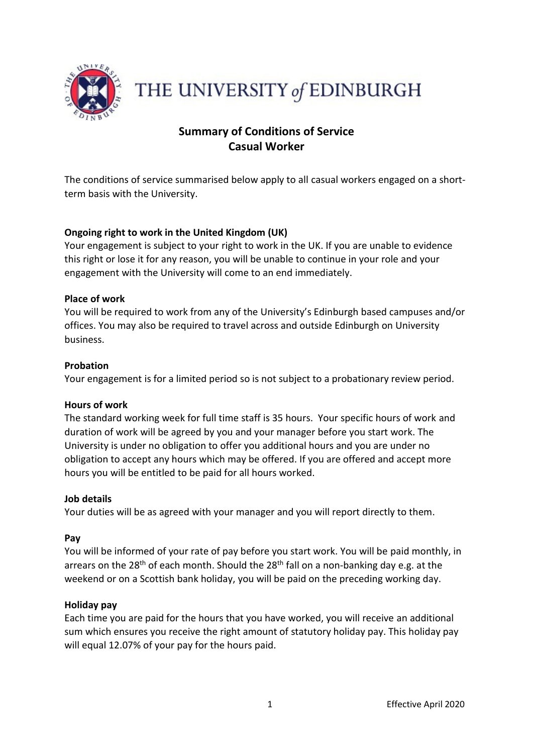

THE UNIVERSITY of EDINBURGH

# **Summary of Conditions of Service Casual Worker**

The conditions of service summarised below apply to all casual workers engaged on a shortterm basis with the University.

## **Ongoing right to work in the United Kingdom (UK)**

Your engagement is subject to your right to work in the UK. If you are unable to evidence this right or lose it for any reason, you will be unable to continue in your role and your engagement with the University will come to an end immediately.

## **Place of work**

You will be required to work from any of the University's Edinburgh based campuses and/or offices. You may also be required to travel across and outside Edinburgh on University business.

## **Probation**

Your engagement is for a limited period so is not subject to a probationary review period.

## **Hours of work**

The standard working week for full time staff is 35 hours. Your specific hours of work and duration of work will be agreed by you and your manager before you start work. The University is under no obligation to offer you additional hours and you are under no obligation to accept any hours which may be offered. If you are offered and accept more hours you will be entitled to be paid for all hours worked.

## **Job details**

Your duties will be as agreed with your manager and you will report directly to them.

## **Pay**

You will be informed of your rate of pay before you start work. You will be paid monthly, in arrears on the 28<sup>th</sup> of each month. Should the 28<sup>th</sup> fall on a non-banking day e.g. at the weekend or on a Scottish bank holiday, you will be paid on the preceding working day.

## **Holiday pay**

Each time you are paid for the hours that you have worked, you will receive an additional sum which ensures you receive the right amount of statutory holiday pay. This holiday pay will equal 12.07% of your pay for the hours paid.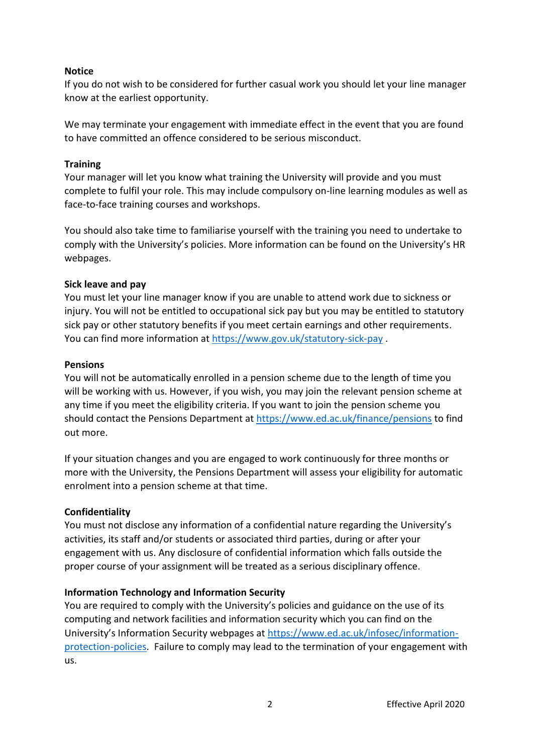## **Notice**

If you do not wish to be considered for further casual work you should let your line manager know at the earliest opportunity.

We may terminate your engagement with immediate effect in the event that you are found to have committed an offence considered to be serious misconduct.

## **Training**

Your manager will let you know what training the University will provide and you must complete to fulfil your role. This may include compulsory on-line learning modules as well as face-to-face training courses and workshops.

You should also take time to familiarise yourself with the training you need to undertake to comply with the University's policies. More information can be found on the University's HR webpages.

## **Sick leave and pay**

You must let your line manager know if you are unable to attend work due to sickness or injury. You will not be entitled to occupational sick pay but you may be entitled to statutory sick pay or other statutory benefits if you meet certain earnings and other requirements. You can find more information a[t https://www.gov.uk/statutory-sick-pay](https://www.gov.uk/statutory-sick-pay) .

## **Pensions**

You will not be automatically enrolled in a pension scheme due to the length of time you will be working with us. However, if you wish, you may join the relevant pension scheme at any time if you meet the eligibility criteria. If you want to join the pension scheme you should contact the Pensions Department at<https://www.ed.ac.uk/finance/pensions> to find out more.

If your situation changes and you are engaged to work continuously for three months or more with the University, the Pensions Department will assess your eligibility for automatic enrolment into a pension scheme at that time.

## **Confidentiality**

You must not disclose any information of a confidential nature regarding the University's activities, its staff and/or students or associated third parties, during or after your engagement with us. Any disclosure of confidential information which falls outside the proper course of your assignment will be treated as a serious disciplinary offence.

## **Information Technology and Information Security**

You are required to comply with the University's policies and guidance on the use of its computing and network facilities and information security which you can find on the University's Information Security webpages at [https://www.ed.ac.uk/infosec/information](https://www.ed.ac.uk/infosec/information-protection-policies)[protection-policies.](https://www.ed.ac.uk/infosec/information-protection-policies) Failure to comply may lead to the termination of your engagement with us.